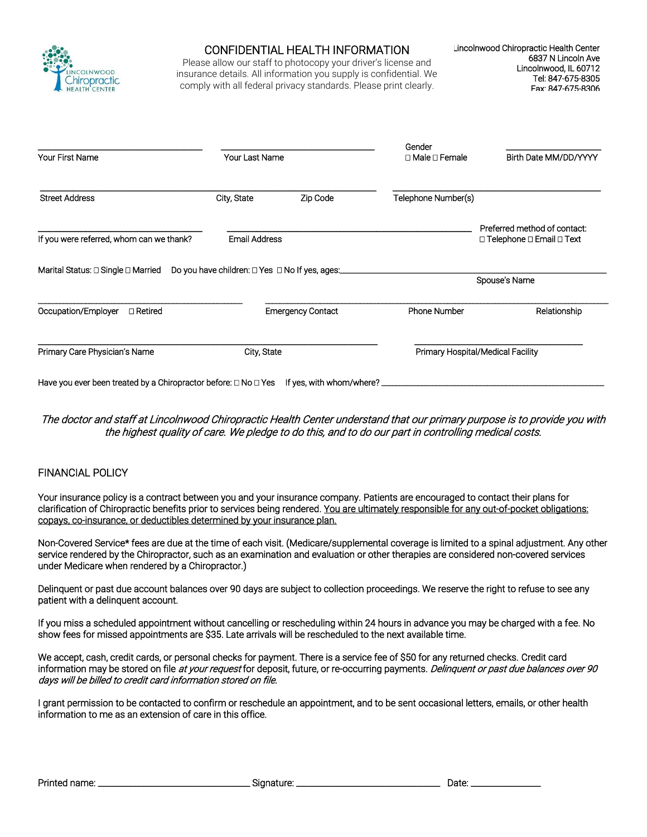

### CONFIDENTIAL HEALTH INFORMATION

Please allow our staff to photocopy your driver's license and insurance details. All information you supply is confidential. We comply with all federal privacy standards. Please print clearly.

|                                                                           |                                                |                          | Gender                            |                                                                           |  |
|---------------------------------------------------------------------------|------------------------------------------------|--------------------------|-----------------------------------|---------------------------------------------------------------------------|--|
| <b>Your First Name</b>                                                    | Your Last Name                                 |                          | $\Box$ Male $\Box$ Female         | Birth Date MM/DD/YYYY                                                     |  |
| <b>Street Address</b>                                                     | City, State                                    | Zip Code                 | Telephone Number(s)               |                                                                           |  |
| If you were referred, whom can we thank?                                  | <b>Email Address</b>                           |                          |                                   | Preferred method of contact:<br>$\Box$ Telephone $\Box$ Email $\Box$ Text |  |
| Marital Status: $\square$ Single $\square$ Married                        | Do you have children: □ Yes □ No If yes, ages: |                          |                                   | Spouse's Name                                                             |  |
| Occupation/Employer<br>□ Retired                                          |                                                | <b>Emergency Contact</b> | <b>Phone Number</b>               | Relationship                                                              |  |
| Primary Care Physician's Name                                             | City, State                                    |                          | Primary Hospital/Medical Facility |                                                                           |  |
| Have you ever been treated by a Chiropractor before: $\Box$ No $\Box$ Yes |                                                | If yes, with whom/where? |                                   |                                                                           |  |

#### The doctor and staff at Lincolnwood Chiropractic Health Center understand that our primary purpose is to provide you with the highest quality of care. We pledge to do this, and to do our part in controlling medical costs.

#### FINANCIAL POLICY

Your insurance policy is a contract between you and your insurance company. Patients are encouraged to contact their plans for clarification of Chiropractic benefits prior to services being rendered. You are ultimately responsible for any out-of-pocket obligations: copays, co-insurance, or deductibles determined by your insurance plan.

Non-Covered Service\* fees are due at the time of each visit. (Medicare/supplemental coverage is limited to a spinal adjustment. Any other service rendered by the Chiropractor, such as an examination and evaluation or other therapies are considered non-covered services under Medicare when rendered by a Chiropractor.)

Delinquent or past due account balances over 90 days are subject to collection proceedings. We reserve the right to refuse to see any patient with a delinquent account.

If you miss a scheduled appointment without cancelling or rescheduling within 24 hours in advance you may be charged with a fee. No show fees for missed appointments are \$35. Late arrivals will be rescheduled to the next available time.

We accept, cash, credit cards, or personal checks for payment. There is a service fee of \$50 for any returned checks. Credit card information may be stored on file at your request for deposit, future, or re-occurring payments. Delinquent or past due balances over 90 days will be billed to credit card information stored on file.

I grant permission to be contacted to confirm or reschedule an appointment, and to be sent occasional letters, emails, or other health information to me as an extension of care in this office.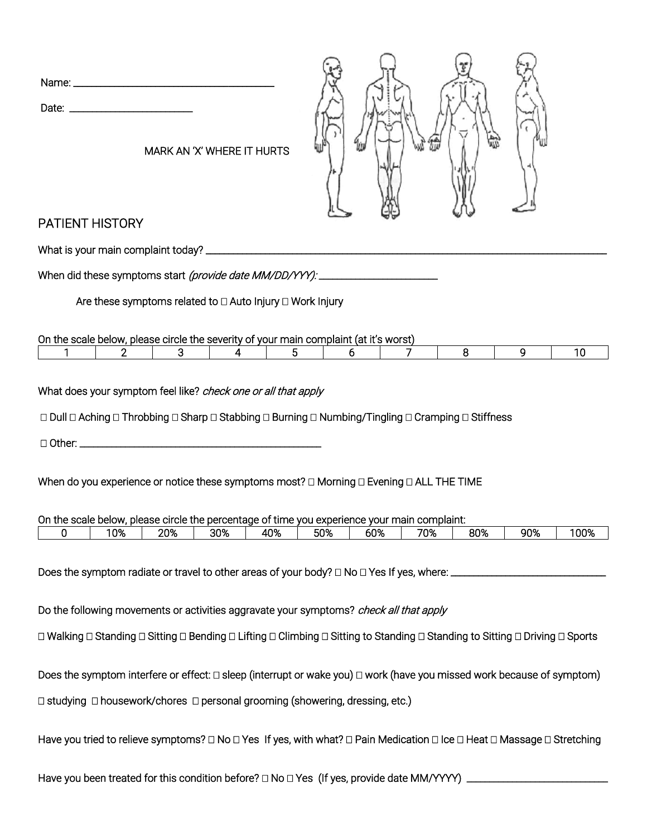| Name: _______________ |  |  |
|-----------------------|--|--|
| Date:                 |  |  |



MARK AN 'X' WHERE IT HURTS

# PATIENT HISTORY

What is your main complaint today? \_\_\_\_\_\_\_\_\_\_\_\_\_\_\_\_\_\_\_\_\_\_\_\_\_\_\_\_\_\_\_\_\_\_\_\_\_\_\_\_\_\_\_\_\_\_\_\_\_\_\_\_\_\_\_\_\_\_\_\_\_\_\_\_\_\_\_\_\_\_\_\_\_\_\_\_\_\_\_\_\_\_\_\_\_\_\_\_

When did these symptoms start (provide date MM/DD/YYY): \_\_\_\_\_\_\_\_\_\_\_\_\_\_\_\_\_\_\_\_\_\_\_\_

Are these symptoms related to  $\Box$  Auto Injury  $\Box$  Work Injury

On the scale below, please circle the severity of your main complaint (at it's worst)

What does your symptom feel like? check one or all that apply

 $\Box$  Dull  $\Box$  Aching  $\Box$  Throbbing  $\Box$  Sharp  $\Box$  Stabbing  $\Box$  Burning  $\Box$  Numbing/Tingling  $\Box$  Cramping  $\Box$  Stiffness

Other: \_\_\_\_\_\_\_\_\_\_\_\_\_\_\_\_\_\_\_\_\_\_\_\_\_\_\_\_\_\_\_\_\_\_\_\_\_\_\_\_\_\_\_\_\_\_\_\_\_\_\_\_\_

When do you experience or notice these symptoms most?  $\Box$  Morning  $\Box$  Evening  $\Box$  ALL THE TIME

| On the scale below, |     |     |     |     |     | , please circle the percentage of time you experience your main complaint: |     |     |     |      |
|---------------------|-----|-----|-----|-----|-----|----------------------------------------------------------------------------|-----|-----|-----|------|
|                     | 10% | 20% | 30% | 40% | 50% | 60%                                                                        | 70% | 80% | 90% | 100% |

Does the symptom radiate or travel to other areas of your body?  $\Box$  No  $\Box$  Yes If yes, where:  $\Box$ 

Do the following movements or activities aggravate your symptoms? *check all that apply* 

 $\Box$  Walking  $\Box$  Standing  $\Box$  Sitting  $\Box$  Bending  $\Box$  Lifting  $\Box$  Climbing  $\Box$  Sitting to Standing  $\Box$  Standing  $\Box$  Driving  $\Box$  Sports

Does the symptom interfere or effect:  $\Box$  sleep (interrupt or wake you)  $\Box$  work (have you missed work because of symptom)

 $\Box$  studying  $\Box$  housework/chores  $\Box$  personal grooming (showering, dressing, etc.)

Have you tried to relieve symptoms?  $\Box$  No  $\Box$  Yes If yes, with what?  $\Box$  Pain Medication  $\Box$  Ice  $\Box$  Heat  $\Box$  Massage  $\Box$  Stretching

Have you been treated for this condition before? No Yes (If yes, provide date MM/YYYY) \_\_\_\_\_\_\_\_\_\_\_\_\_\_\_\_\_\_\_\_\_\_\_\_\_\_\_\_\_\_\_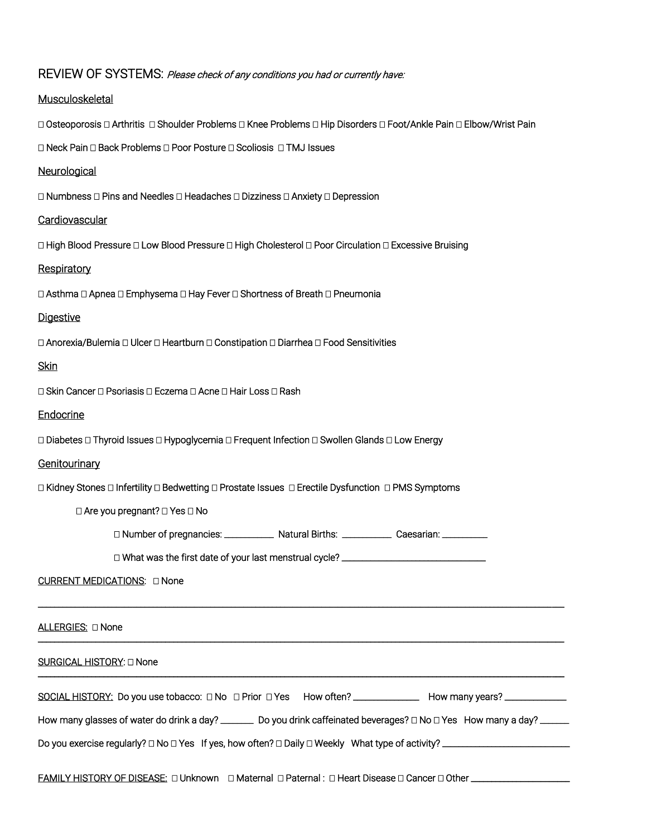| REVIEW OF SYSTEMS: Please check of any conditions you had or currently have:                                                       |
|------------------------------------------------------------------------------------------------------------------------------------|
| Musculoskeletal                                                                                                                    |
| □ Osteoporosis □ Arthritis □ Shoulder Problems □ Knee Problems □ Hip Disorders □ Foot/Ankle Pain □ Elbow/Wrist Pain                |
| □ Neck Pain □ Back Problems □ Poor Posture □ Scoliosis □ TMJ Issues                                                                |
| Neurological                                                                                                                       |
| □ Numbness □ Pins and Needles □ Headaches □ Dizziness □ Anxiety □ Depression                                                       |
| Cardiovascular                                                                                                                     |
| □ High Blood Pressure □ Low Blood Pressure □ High Cholesterol □ Poor Circulation □ Excessive Bruising                              |
| Respiratory                                                                                                                        |
| □ Asthma □ Apnea □ Emphysema □ Hay Fever □ Shortness of Breath □ Pneumonia                                                         |
| <b>Digestive</b>                                                                                                                   |
| □ Anorexia/Bulemia □ Ulcer □ Heartburn □ Constipation □ Diarrhea □ Food Sensitivities                                              |
| <b>Skin</b>                                                                                                                        |
| □ Skin Cancer □ Psoriasis □ Eczema □ Acne □ Hair Loss □ Rash                                                                       |
| Endocrine                                                                                                                          |
| □ Diabetes □ Thyroid Issues □ Hypoglycemia □ Frequent Infection □ Swollen Glands □ Low Energy                                      |
| Genitourinary                                                                                                                      |
| □ Kidney Stones □ Infertility □ Bedwetting □ Prostate Issues □ Erectile Dysfunction □ PMS Symptoms                                 |
| □ Are you pregnant? □ Yes □ No                                                                                                     |
| □ Number of pregnancies:<br>Natural Births:<br>Caesarian:                                                                          |
| □ What was the first date of your last menstrual cycle? _______________________________                                            |
| CURRENT MEDICATIONS: D None                                                                                                        |
| ALLERGIES: □ None                                                                                                                  |
| SURGICAL HISTORY: □ None                                                                                                           |
| SOCIAL HISTORY: Do you use tobacco: □ No □ Prior □ Yes How often? ______________ How many years? _____________                     |
| How many glasses of water do drink a day? ________ Do you drink caffeinated beverages? $\Box$ No $\Box$ Yes How many a day? ______ |
|                                                                                                                                    |
| FAMILY HISTORY OF DISEASE: □ Unknown □ Maternal □ Paternal : □ Heart Disease □ Cancer □ Other ______________________               |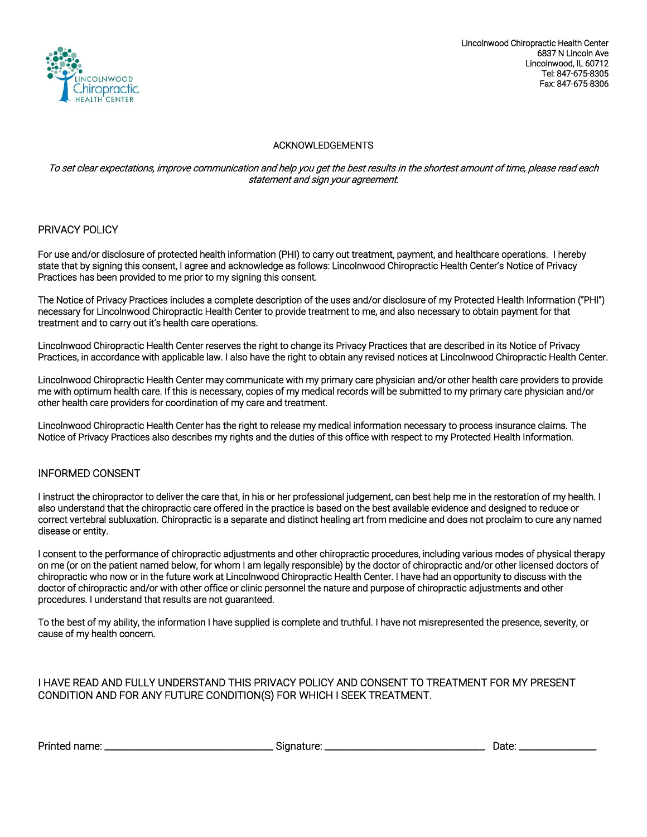

Lincolnwood Chiropractic Health Center 6837 N Lincoln Ave Lincolnwood, IL 60712 Tel: 847-675-8305 Fax: 847-675-8306

#### ACKNOWLEDGEMENTS

#### To set clear expectations, improve communication and help you get the best results in the shortest amount of time, please read each statement and sign your agreement.

#### PRIVACY POLICY

For use and/or disclosure of protected health information (PHI) to carry out treatment, payment, and healthcare operations. I hereby state that by signing this consent, I agree and acknowledge as follows: Lincolnwood Chiropractic Health Center's Notice of Privacy Practices has been provided to me prior to my signing this consent.

The Notice of Privacy Practices includes a complete description of the uses and/or disclosure of my Protected Health Information ("PHI") necessary for Lincolnwood Chiropractic Health Center to provide treatment to me, and also necessary to obtain payment for that treatment and to carry out it's health care operations.

Lincolnwood Chiropractic Health Center reserves the right to change its Privacy Practices that are described in its Notice of Privacy Practices, in accordance with applicable law. I also have the right to obtain any revised notices at Lincolnwood Chiropractic Health Center.

Lincolnwood Chiropractic Health Center may communicate with my primary care physician and/or other health care providers to provide me with optimum health care. If this is necessary, copies of my medical records will be submitted to my primary care physician and/or other health care providers for coordination of my care and treatment.

Lincolnwood Chiropractic Health Center has the right to release my medical information necessary to process insurance claims. The Notice of Privacy Practices also describes my rights and the duties of this office with respect to my Protected Health Information.

#### INFORMED CONSENT

I instruct the chiropractor to deliver the care that, in his or her professional judgement, can best help me in the restoration of my health. I also understand that the chiropractic care offered in the practice is based on the best available evidence and designed to reduce or correct vertebral subluxation. Chiropractic is a separate and distinct healing art from medicine and does not proclaim to cure any named disease or entity.

I consent to the performance of chiropractic adjustments and other chiropractic procedures, including various modes of physical therapy on me (or on the patient named below, for whom I am legally responsible) by the doctor of chiropractic and/or other licensed doctors of chiropractic who now or in the future work at Lincolnwood Chiropractic Health Center. I have had an opportunity to discuss with the doctor of chiropractic and/or with other office or clinic personnel the nature and purpose of chiropractic adjustments and other procedures. I understand that results are not guaranteed.

To the best of my ability, the information I have supplied is complete and truthful. I have not misrepresented the presence, severity, or cause of my health concern.

#### I HAVE READ AND FULLY UNDERSTAND THIS PRIVACY POLICY AND CONSENT TO TREATMENT FOR MY PRESENT CONDITION AND FOR ANY FUTURE CONDITION(S) FOR WHICH I SEEK TREATMENT.

Printed name: \_\_\_\_\_\_\_\_\_\_\_\_\_\_\_\_\_\_\_\_\_\_\_\_\_\_\_\_\_\_\_\_\_\_\_\_\_ Signature: \_\_\_\_\_\_\_\_\_\_\_\_\_\_\_\_\_\_\_\_\_\_\_\_\_\_\_\_\_\_\_\_\_\_\_ Date: \_\_\_\_\_\_\_\_\_\_\_\_\_\_\_\_\_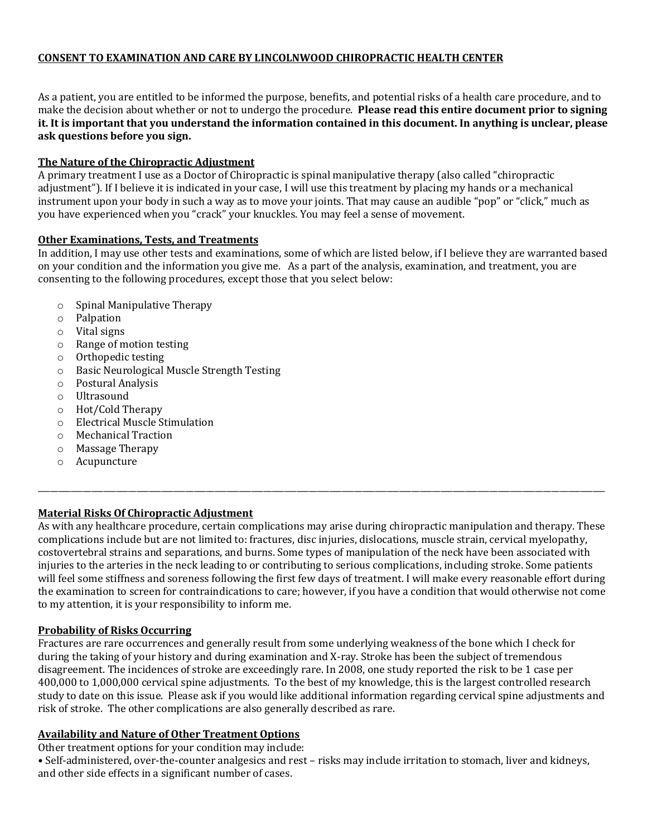# **CONSENT TO EXAMINATION AND CARE BY LINCOLNWOOD CHIROPRACTIC HEALTH CENTER**

As a patient, you are entitled to be informed the purpose, benefits, and potential risks of a health care procedure, and to make the decision about whether or not to undergo the procedure. **Please read this entire document prior to signing it. It is important that you understand the information contained in this document. In anything is unclear, please ask questions before you sign.**

### **The Nature of the Chiropractic Adjustment**

A primary treatment I use as a Doctor of Chiropractic is spinal manipulative therapy (also called "chiropractic adjustment"). If I believe it is indicated in your case, I will use this treatment by placing my hands or a mechanical instrument upon your body in such a way as to move your joints. That may cause an audible "pop" or "click," much as you have experienced when you "crack" your knuckles. You may feel a sense of movement.

### **Other Examinations, Tests, and Treatments**

In addition, I may use other tests and examinations, some of which are listed below, if I believe they are warranted based on your condition and the information you give me. As a part of the analysis, examination, and treatment, you are consenting to the following procedures, except those that you select below:

- o Spinal Manipulative Therapy
- o Palpation
- o Vital signs
- o Range of motion testing
- o Orthopedic testing
- o Basic Neurological Muscle Strength Testing
- o Postural Analysis
- o Ultrasound
- o Hot/Cold Therapy
- o Electrical Muscle Stimulation
- o Mechanical Traction
- o Massage Therapy
- o Acupuncture

# **Material Risks Of Chiropractic Adjustment**

As with any healthcare procedure, certain complications may arise during chiropractic manipulation and therapy. These complications include but are not limited to: fractures, disc injuries, dislocations, muscle strain, cervical myelopathy, costovertebral strains and separations, and burns. Some types of manipulation of the neck have been associated with injuries to the arteries in the neck leading to or contributing to serious complications, including stroke. Some patients will feel some stiffness and soreness following the first few days of treatment. I will make every reasonable effort during the examination to screen for contraindications to care; however, if you have a condition that would otherwise not come to my attention, it is your responsibility to inform me.

\_\_\_\_\_\_\_\_\_\_\_\_\_\_\_\_\_\_\_\_\_\_\_\_\_\_\_\_\_\_\_\_\_\_\_\_\_\_\_\_\_\_\_\_\_\_\_\_\_\_\_\_\_\_\_\_\_\_\_\_\_\_\_\_\_\_\_\_\_\_\_\_\_\_\_\_\_\_\_\_\_\_\_\_\_\_\_\_\_\_\_\_\_\_\_\_\_\_\_\_\_\_\_\_\_\_\_\_\_\_\_\_\_\_\_\_\_\_\_\_\_\_\_\_\_\_\_\_\_\_\_\_\_\_\_\_\_\_

### **Probability of Risks Occurring**

Fractures are rare occurrences and generally result from some underlying weakness of the bone which I check for during the taking of your history and during examination and X-ray. Stroke has been the subject of tremendous disagreement. The incidences of stroke are exceedingly rare. In 2008, one study reported the risk to be 1 case per 400,000 to 1,000,000 cervical spine adjustments. To the best of my knowledge, this is the largest controlled research study to date on this issue. Please ask if you would like additional information regarding cervical spine adjustments and risk of stroke. The other complications are also generally described as rare.

#### **Availability and Nature of Other Treatment Options**

Other treatment options for your condition may include:

• Self-administered, over-the-counter analgesics and rest – risks may include irritation to stomach, liver and kidneys, and other side effects in a significant number of cases.